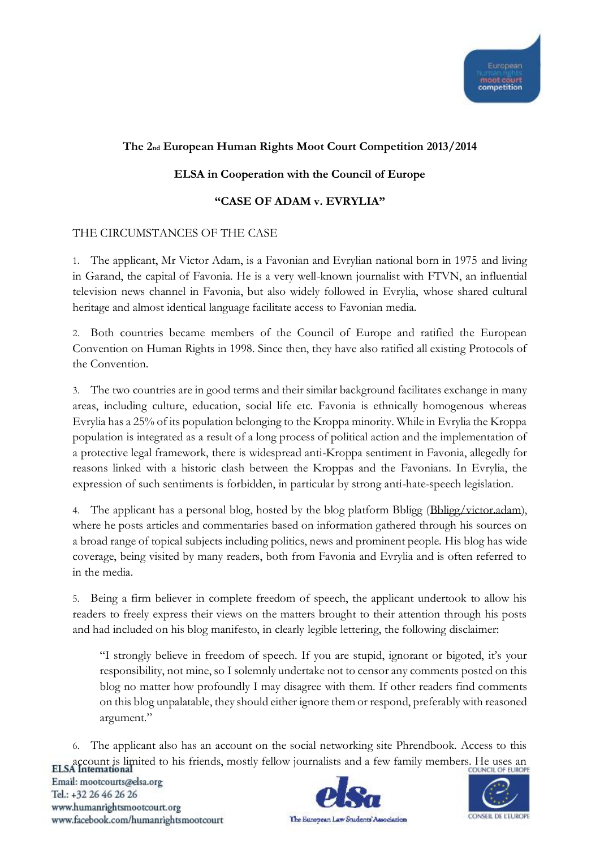## **The 2nd European Human Rights Moot Court Competition 2013/2014**

# **ELSA in Cooperation with the Council of Europe**

## **"CASE OF ADAM v. EVRYLIA"**

### THE CIRCUMSTANCES OF THE CASE

1. The applicant, Mr Victor Adam, is a Favonian and Evrylian national born in 1975 and living in Garand, the capital of Favonia. He is a very well-known journalist with FTVN, an influential television news channel in Favonia, but also widely followed in Evrylia, whose shared cultural heritage and almost identical language facilitate access to Favonian media.

2. Both countries became members of the Council of Europe and ratified the European Convention on Human Rights in 1998. Since then, they have also ratified all existing Protocols of the Convention.

3. The two countries are in good terms and their similar background facilitates exchange in many areas, including culture, education, social life etc. Favonia is ethnically homogenous whereas Evrylia has a 25% of its population belonging to the Kroppa minority. While in Evrylia the Kroppa population is integrated as a result of a long process of political action and the implementation of a protective legal framework, there is widespread anti-Kroppa sentiment in Favonia, allegedly for reasons linked with a historic clash between the Kroppas and the Favonians. In Evrylia, the expression of such sentiments is forbidden, in particular by strong anti-hate-speech legislation.

4. The applicant has a personal blog, hosted by the blog platform Bbligg (Bbligg/victor.adam), where he posts articles and commentaries based on information gathered through his sources on a broad range of topical subjects including politics, news and prominent people. His blog has wide coverage, being visited by many readers, both from Favonia and Evrylia and is often referred to in the media.

5. Being a firm believer in complete freedom of speech, the applicant undertook to allow his readers to freely express their views on the matters brought to their attention through his posts and had included on his blog manifesto, in clearly legible lettering, the following disclaimer:

"I strongly believe in freedom of speech. If you are stupid, ignorant or bigoted, it's your responsibility, not mine, so I solemnly undertake not to censor any comments posted on this blog no matter how profoundly I may disagree with them. If other readers find comments on this blog unpalatable, they should either ignore them or respond, preferably with reasoned argument."

6. The applicant also has an account on the social networking site Phrendbook. Access to this ELSA International<br>ELSA International



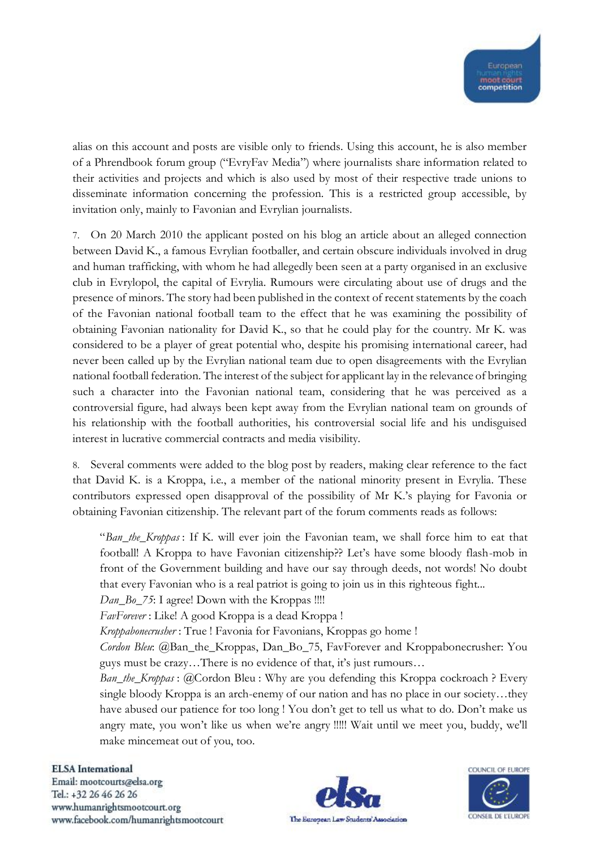alias on this account and posts are visible only to friends. Using this account, he is also member of a Phrendbook forum group ("EvryFav Media") where journalists share information related to their activities and projects and which is also used by most of their respective trade unions to disseminate information concerning the profession. This is a restricted group accessible, by invitation only, mainly to Favonian and Evrylian journalists.

7. On 20 March 2010 the applicant posted on his blog an article about an alleged connection between David K., a famous Evrylian footballer, and certain obscure individuals involved in drug and human trafficking, with whom he had allegedly been seen at a party organised in an exclusive club in Evrylopol, the capital of Evrylia. Rumours were circulating about use of drugs and the presence of minors. The story had been published in the context of recent statements by the coach of the Favonian national football team to the effect that he was examining the possibility of obtaining Favonian nationality for David K., so that he could play for the country. Mr K. was considered to be a player of great potential who, despite his promising international career, had never been called up by the Evrylian national team due to open disagreements with the Evrylian national football federation. The interest of the subject for applicant lay in the relevance of bringing such a character into the Favonian national team, considering that he was perceived as a controversial figure, had always been kept away from the Evrylian national team on grounds of his relationship with the football authorities, his controversial social life and his undisguised interest in lucrative commercial contracts and media visibility.

8. Several comments were added to the blog post by readers, making clear reference to the fact that David K. is a Kroppa, i.e., a member of the national minority present in Evrylia. These contributors expressed open disapproval of the possibility of Mr K.'s playing for Favonia or obtaining Favonian citizenship. The relevant part of the forum comments reads as follows:

"*Ban\_the\_Kroppas* : If K. will ever join the Favonian team, we shall force him to eat that football! A Kroppa to have Favonian citizenship?? Let's have some bloody flash-mob in front of the Government building and have our say through deeds, not words! No doubt that every Favonian who is a real patriot is going to join us in this righteous fight...

*Dan\_Bo\_75*: I agree! Down with the Kroppas !!!!

*FavForever* : Like! A good Kroppa is a dead Kroppa !

*Kroppabonecrusher* : True ! Favonia for Favonians, Kroppas go home !

*Cordon Bleu*: @Ban\_the\_Kroppas, Dan\_Bo\_75, FavForever and Kroppabonecrusher: You guys must be crazy…There is no evidence of that, it's just rumours…

*Ban\_the\_Kroppas* : @Cordon Bleu : Why are you defending this Kroppa cockroach ? Every single bloody Kroppa is an arch-enemy of our nation and has no place in our society…they have abused our patience for too long ! You don't get to tell us what to do. Don't make us angry mate, you won't like us when we're angry !!!!! Wait until we meet you, buddy, we'll make mincemeat out of you, too.

#### **ELSA** International

Email: mootcourts@elsa.org Tel.: +32 26 46 26 26 www.humanrightsmootcourt.org www.facebook.com/humanrightsmootcourt



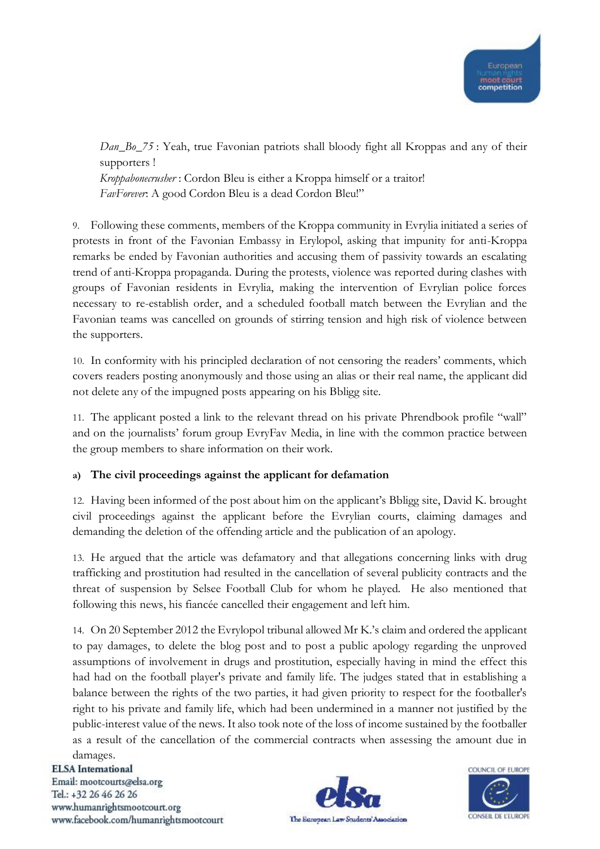*Dan\_Bo\_75* : Yeah, true Favonian patriots shall bloody fight all Kroppas and any of their supporters ! *Kroppabonecrusher* : Cordon Bleu is either a Kroppa himself or a traitor! *FavForever*: A good Cordon Bleu is a dead Cordon Bleu!"

9. Following these comments, members of the Kroppa community in Evrylia initiated a series of protests in front of the Favonian Embassy in Erylopol, asking that impunity for anti-Kroppa remarks be ended by Favonian authorities and accusing them of passivity towards an escalating trend of anti-Kroppa propaganda. During the protests, violence was reported during clashes with groups of Favonian residents in Evrylia, making the intervention of Evrylian police forces necessary to re-establish order, and a scheduled football match between the Evrylian and the Favonian teams was cancelled on grounds of stirring tension and high risk of violence between the supporters.

10. In conformity with his principled declaration of not censoring the readers' comments, which covers readers posting anonymously and those using an alias or their real name, the applicant did not delete any of the impugned posts appearing on his Bbligg site.

11. The applicant posted a link to the relevant thread on his private Phrendbook profile "wall" and on the journalists' forum group EvryFav Media, in line with the common practice between the group members to share information on their work.

# **a) The civil proceedings against the applicant for defamation**

12. Having been informed of the post about him on the applicant's Bbligg site, David K. brought civil proceedings against the applicant before the Evrylian courts, claiming damages and demanding the deletion of the offending article and the publication of an apology.

13. He argued that the article was defamatory and that allegations concerning links with drug trafficking and prostitution had resulted in the cancellation of several publicity contracts and the threat of suspension by Selsee Football Club for whom he played. He also mentioned that following this news, his fiancée cancelled their engagement and left him.

14. On 20 September 2012 the Evrylopol tribunal allowed Mr K.'s claim and ordered the applicant to pay damages, to delete the blog post and to post a public apology regarding the unproved assumptions of involvement in drugs and prostitution, especially having in mind the effect this had had on the football player's private and family life. The judges stated that in establishing a balance between the rights of the two parties, it had given priority to respect for the footballer's right to his private and family life, which had been undermined in a manner not justified by the public-interest value of the news. It also took note of the loss of income sustained by the footballer as a result of the cancellation of the commercial contracts when assessing the amount due in damages.

**ELSA** International Email: mootcourts@elsa.org Tel.: +32 26 46 26 26 www.humanrightsmootcourt.org www.facebook.com/humanrightsmootcourt



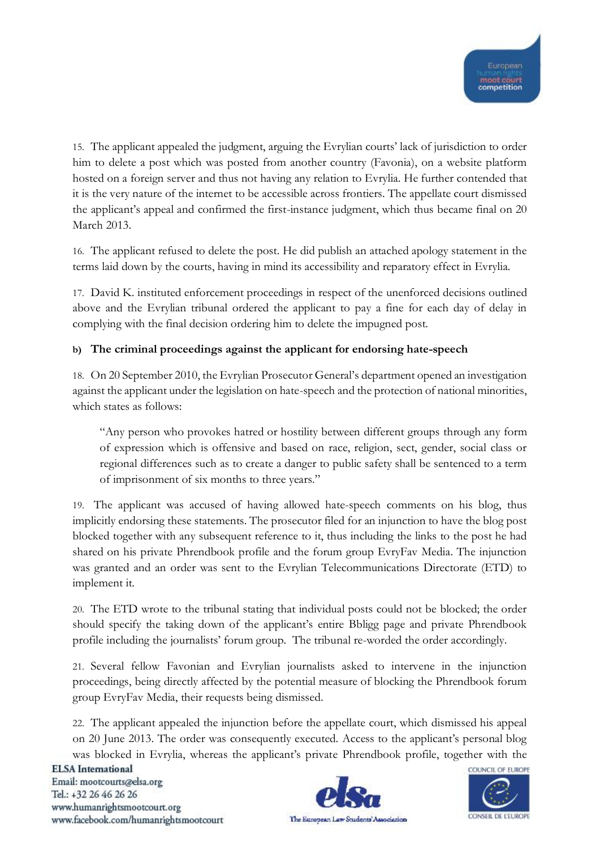15. The applicant appealed the judgment, arguing the Evrylian courts' lack of jurisdiction to order him to delete a post which was posted from another country (Favonia), on a website platform hosted on a foreign server and thus not having any relation to Evrylia. He further contended that it is the very nature of the internet to be accessible across frontiers. The appellate court dismissed the applicant's appeal and confirmed the first-instance judgment, which thus became final on 20 March 2013.

16. The applicant refused to delete the post. He did publish an attached apology statement in the terms laid down by the courts, having in mind its accessibility and reparatory effect in Evrylia.

17. David K. instituted enforcement proceedings in respect of the unenforced decisions outlined above and the Evrylian tribunal ordered the applicant to pay a fine for each day of delay in complying with the final decision ordering him to delete the impugned post.

# **b) The criminal proceedings against the applicant for endorsing hate-speech**

18. On 20 September 2010, the Evrylian Prosecutor General's department opened an investigation against the applicant under the legislation on hate-speech and the protection of national minorities, which states as follows:

"Any person who provokes hatred or hostility between different groups through any form of expression which is offensive and based on race, religion, sect, gender, social class or regional differences such as to create a danger to public safety shall be sentenced to a term of imprisonment of six months to three years."

19. The applicant was accused of having allowed hate-speech comments on his blog, thus implicitly endorsing these statements. The prosecutor filed for an injunction to have the blog post blocked together with any subsequent reference to it, thus including the links to the post he had shared on his private Phrendbook profile and the forum group EvryFav Media. The injunction was granted and an order was sent to the Evrylian Telecommunications Directorate (ETD) to implement it.

20. The ETD wrote to the tribunal stating that individual posts could not be blocked; the order should specify the taking down of the applicant's entire Bbligg page and private Phrendbook profile including the journalists' forum group. The tribunal re-worded the order accordingly.

21. Several fellow Favonian and Evrylian journalists asked to intervene in the injunction proceedings, being directly affected by the potential measure of blocking the Phrendbook forum group EvryFav Media, their requests being dismissed.

22. The applicant appealed the injunction before the appellate court, which dismissed his appeal on 20 June 2013. The order was consequently executed. Access to the applicant's personal blog was blocked in Evrylia, whereas the applicant's private Phrendbook profile, together with the

**ELSA** International Email: mootcourts@elsa.org Tel.: +32 26 46 26 26 www.humanrightsmootcourt.org www.facebook.com/humanrightsmootcourt